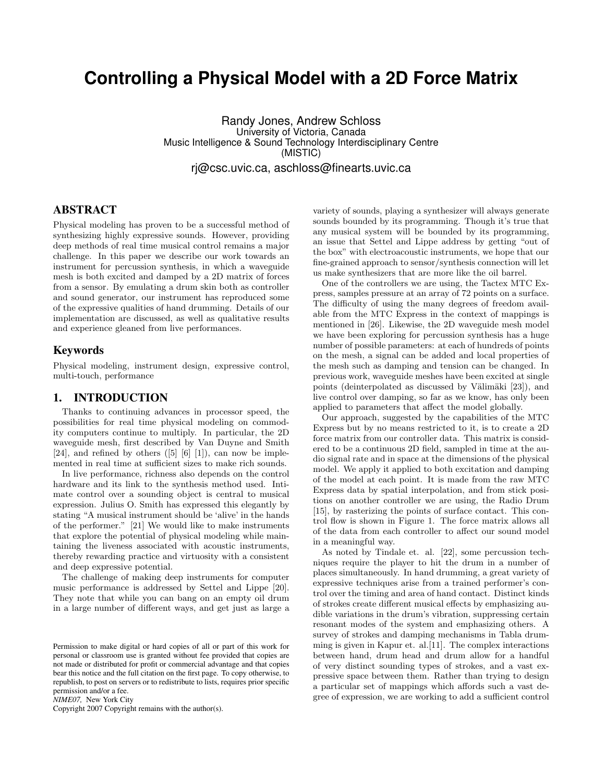# **Controlling a Physical Model with a 2D Force Matrix**

Randy Jones, Andrew Schloss University of Victoria, Canada Music Intelligence & Sound Technology Interdisciplinary Centre (MISTIC) rj@csc.uvic.ca, aschloss@finearts.uvic.ca

# ABSTRACT

Physical modeling has proven to be a successful method of synthesizing highly expressive sounds. However, providing deep methods of real time musical control remains a major challenge. In this paper we describe our work towards an instrument for percussion synthesis, in which a waveguide mesh is both excited and damped by a 2D matrix of forces from a sensor. By emulating a drum skin both as controller and sound generator, our instrument has reproduced some of the expressive qualities of hand drumming. Details of our implementation are discussed, as well as qualitative results and experience gleaned from live performances.

## Keywords

Physical modeling, instrument design, expressive control, multi-touch, performance

## 1. INTRODUCTION

Thanks to continuing advances in processor speed, the possibilities for real time physical modeling on commodity computers continue to multiply. In particular, the 2D waveguide mesh, first described by Van Duyne and Smith  $[24]$ , and refined by others  $([5] [6] [1])$ , can now be implemented in real time at sufficient sizes to make rich sounds.

In live performance, richness also depends on the control hardware and its link to the synthesis method used. Intimate control over a sounding object is central to musical expression. Julius O. Smith has expressed this elegantly by stating "A musical instrument should be 'alive' in the hands of the performer." [21] We would like to make instruments that explore the potential of physical modeling while maintaining the liveness associated with acoustic instruments, thereby rewarding practice and virtuosity with a consistent and deep expressive potential.

The challenge of making deep instruments for computer music performance is addressed by Settel and Lippe [20]. They note that while you can bang on an empty oil drum in a large number of different ways, and get just as large a

*NIME07,* New York City

Copyright 2007 Copyright remains with the author(s).

variety of sounds, playing a synthesizer will always generate sounds bounded by its programming. Though it's true that any musical system will be bounded by its programming, an issue that Settel and Lippe address by getting "out of the box" with electroacoustic instruments, we hope that our fine-grained approach to sensor/synthesis connection will let us make synthesizers that are more like the oil barrel.

One of the controllers we are using, the Tactex MTC Express, samples pressure at an array of 72 points on a surface. The difficulty of using the many degrees of freedom available from the MTC Express in the context of mappings is mentioned in [26]. Likewise, the 2D waveguide mesh model we have been exploring for percussion synthesis has a huge number of possible parameters: at each of hundreds of points on the mesh, a signal can be added and local properties of the mesh such as damping and tension can be changed. In previous work, waveguide meshes have been excited at single points (deinterpolated as discussed by Välimäki [23]), and live control over damping, so far as we know, has only been applied to parameters that affect the model globally.

Our approach, suggested by the capabilities of the MTC Express but by no means restricted to it, is to create a 2D force matrix from our controller data. This matrix is considered to be a continuous 2D field, sampled in time at the audio signal rate and in space at the dimensions of the physical model. We apply it applied to both excitation and damping of the model at each point. It is made from the raw MTC Express data by spatial interpolation, and from stick positions on another controller we are using, the Radio Drum [15], by rasterizing the points of surface contact. This control flow is shown in Figure 1. The force matrix allows all of the data from each controller to affect our sound model in a meaningful way.

As noted by Tindale et. al. [22], some percussion techniques require the player to hit the drum in a number of places simultaneously. In hand drumming, a great variety of expressive techniques arise from a trained performer's control over the timing and area of hand contact. Distinct kinds of strokes create different musical effects by emphasizing audible variations in the drum's vibration, suppressing certain resonant modes of the system and emphasizing others. A survey of strokes and damping mechanisms in Tabla drumming is given in Kapur et. al.[11]. The complex interactions between hand, drum head and drum allow for a handful of very distinct sounding types of strokes, and a vast expressive space between them. Rather than trying to design a particular set of mappings which affords such a vast degree of expression, we are working to add a sufficient control

Permission to make digital or hard copies of all or part of this work for personal or classroom use is granted without fee provided that copies are not made or distributed for profit or commercial advantage and that copies bear this notice and the full citation on the first page. To copy otherwise, to republish, to post on servers or to redistribute to lists, requires prior specific permission and/or a fee.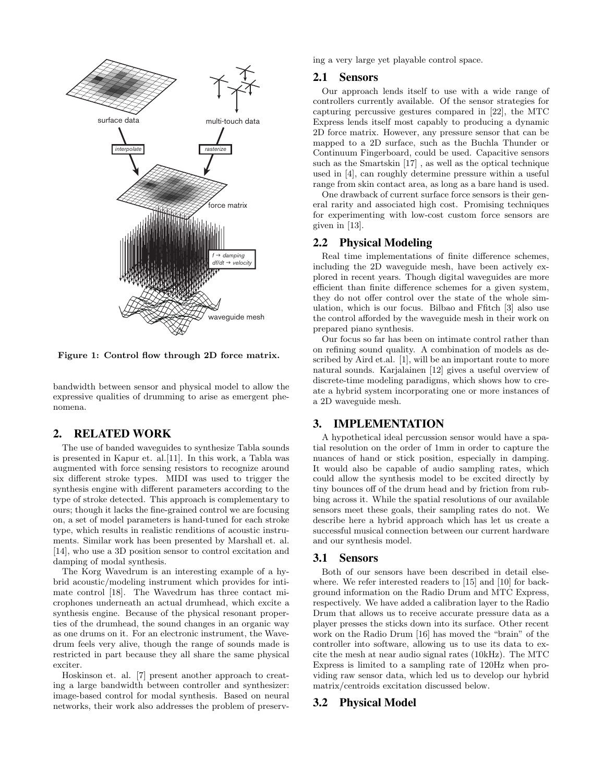

Figure 1: Control flow through 2D force matrix.

bandwidth between sensor and physical model to allow the expressive qualities of drumming to arise as emergent phenomena.

## 2. RELATED WORK

The use of banded waveguides to synthesize Tabla sounds is presented in Kapur et. al.[11]. In this work, a Tabla was augmented with force sensing resistors to recognize around six different stroke types. MIDI was used to trigger the synthesis engine with different parameters according to the type of stroke detected. This approach is complementary to ours; though it lacks the fine-grained control we are focusing on, a set of model parameters is hand-tuned for each stroke type, which results in realistic renditions of acoustic instruments. Similar work has been presented by Marshall et. al. [14], who use a 3D position sensor to control excitation and damping of modal synthesis.

The Korg Wavedrum is an interesting example of a hybrid acoustic/modeling instrument which provides for intimate control [18]. The Wavedrum has three contact microphones underneath an actual drumhead, which excite a synthesis engine. Because of the physical resonant properties of the drumhead, the sound changes in an organic way as one drums on it. For an electronic instrument, the Wavedrum feels very alive, though the range of sounds made is restricted in part because they all share the same physical exciter.

Hoskinson et. al. [7] present another approach to creating a large bandwidth between controller and synthesizer: image-based control for modal synthesis. Based on neural networks, their work also addresses the problem of preserving a very large yet playable control space.

#### 2.1 Sensors

Our approach lends itself to use with a wide range of controllers currently available. Of the sensor strategies for capturing percussive gestures compared in [22], the MTC Express lends itself most capably to producing a dynamic 2D force matrix. However, any pressure sensor that can be mapped to a 2D surface, such as the Buchla Thunder or Continuum Fingerboard, could be used. Capacitive sensors such as the Smartskin [17] , as well as the optical technique used in [4], can roughly determine pressure within a useful range from skin contact area, as long as a bare hand is used.

One drawback of current surface force sensors is their general rarity and associated high cost. Promising techniques for experimenting with low-cost custom force sensors are given in [13].

## 2.2 Physical Modeling

Real time implementations of finite difference schemes, including the 2D waveguide mesh, have been actively explored in recent years. Though digital waveguides are more efficient than finite difference schemes for a given system, they do not offer control over the state of the whole simulation, which is our focus. Bilbao and Ffitch [3] also use the control afforded by the waveguide mesh in their work on prepared piano synthesis.

Our focus so far has been on intimate control rather than on refining sound quality. A combination of models as described by Aird et.al. [1], will be an important route to more natural sounds. Karjalainen [12] gives a useful overview of discrete-time modeling paradigms, which shows how to create a hybrid system incorporating one or more instances of a 2D waveguide mesh.

## 3. IMPLEMENTATION

A hypothetical ideal percussion sensor would have a spatial resolution on the order of 1mm in order to capture the nuances of hand or stick position, especially in damping. It would also be capable of audio sampling rates, which could allow the synthesis model to be excited directly by tiny bounces off of the drum head and by friction from rubbing across it. While the spatial resolutions of our available sensors meet these goals, their sampling rates do not. We describe here a hybrid approach which has let us create a successful musical connection between our current hardware and our synthesis model.

#### 3.1 Sensors

Both of our sensors have been described in detail elsewhere. We refer interested readers to [15] and [10] for background information on the Radio Drum and MTC Express, respectively. We have added a calibration layer to the Radio Drum that allows us to receive accurate pressure data as a player presses the sticks down into its surface. Other recent work on the Radio Drum [16] has moved the "brain" of the controller into software, allowing us to use its data to excite the mesh at near audio signal rates (10kHz). The MTC Express is limited to a sampling rate of 120Hz when providing raw sensor data, which led us to develop our hybrid matrix/centroids excitation discussed below.

#### 3.2 Physical Model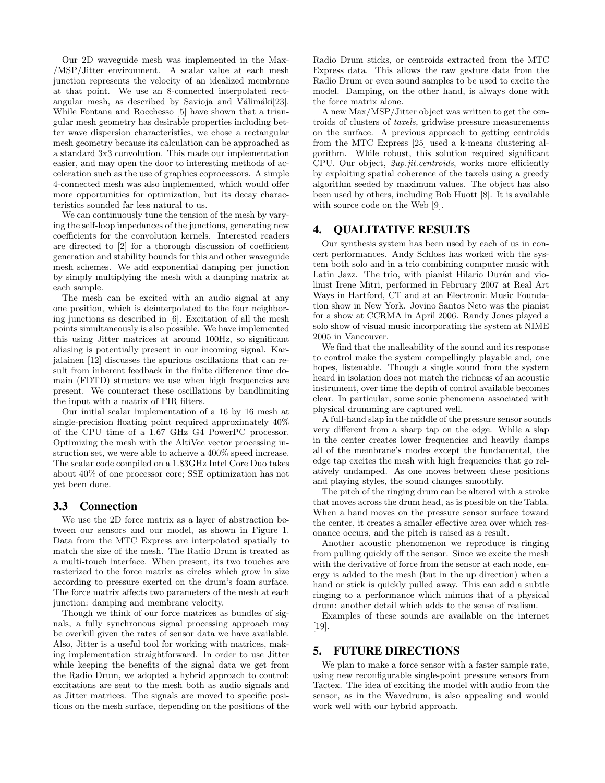Our 2D waveguide mesh was implemented in the Max- /MSP/Jitter environment. A scalar value at each mesh junction represents the velocity of an idealized membrane at that point. We use an 8-connected interpolated rectangular mesh, as described by Savioja and Välimäki[23]. While Fontana and Rocchesso [5] have shown that a triangular mesh geometry has desirable properties including better wave dispersion characteristics, we chose a rectangular mesh geometry because its calculation can be approached as a standard 3x3 convolution. This made our implementation easier, and may open the door to interesting methods of acceleration such as the use of graphics coprocessors. A simple 4-connected mesh was also implemented, which would offer more opportunities for optimization, but its decay characteristics sounded far less natural to us.

We can continuously tune the tension of the mesh by varying the self-loop impedances of the junctions, generating new coefficients for the convolution kernels. Interested readers are directed to [2] for a thorough discussion of coefficient generation and stability bounds for this and other waveguide mesh schemes. We add exponential damping per junction by simply multiplying the mesh with a damping matrix at each sample.

The mesh can be excited with an audio signal at any one position, which is deinterpolated to the four neighboring junctions as described in [6]. Excitation of all the mesh points simultaneously is also possible. We have implemented this using Jitter matrices at around 100Hz, so significant aliasing is potentially present in our incoming signal. Karjalainen [12] discusses the spurious oscillations that can result from inherent feedback in the finite difference time domain (FDTD) structure we use when high frequencies are present. We counteract these oscillations by bandlimiting the input with a matrix of FIR filters.

Our initial scalar implementation of a 16 by 16 mesh at single-precision floating point required approximately 40% of the CPU time of a 1.67 GHz G4 PowerPC processor. Optimizing the mesh with the AltiVec vector processing instruction set, we were able to acheive a 400% speed increase. The scalar code compiled on a 1.83GHz Intel Core Duo takes about 40% of one processor core; SSE optimization has not yet been done.

## 3.3 Connection

We use the 2D force matrix as a layer of abstraction between our sensors and our model, as shown in Figure 1. Data from the MTC Express are interpolated spatially to match the size of the mesh. The Radio Drum is treated as a multi-touch interface. When present, its two touches are rasterized to the force matrix as circles which grow in size according to pressure exerted on the drum's foam surface. The force matrix affects two parameters of the mesh at each junction: damping and membrane velocity.

Though we think of our force matrices as bundles of signals, a fully synchronous signal processing approach may be overkill given the rates of sensor data we have available. Also, Jitter is a useful tool for working with matrices, making implementation straightforward. In order to use Jitter while keeping the benefits of the signal data we get from the Radio Drum, we adopted a hybrid approach to control: excitations are sent to the mesh both as audio signals and as Jitter matrices. The signals are moved to specific positions on the mesh surface, depending on the positions of the Radio Drum sticks, or centroids extracted from the MTC Express data. This allows the raw gesture data from the Radio Drum or even sound samples to be used to excite the model. Damping, on the other hand, is always done with the force matrix alone.

A new Max/MSP/Jitter object was written to get the centroids of clusters of taxels, gridwise pressure measurements on the surface. A previous approach to getting centroids from the MTC Express [25] used a k-means clustering algorithm. While robust, this solution required significant CPU. Our object, 2up.jit.centroids, works more efficiently by exploiting spatial coherence of the taxels using a greedy algorithm seeded by maximum values. The object has also been used by others, including Bob Huott [8]. It is available with source code on the Web [9].

## 4. QUALITATIVE RESULTS

Our synthesis system has been used by each of us in concert performances. Andy Schloss has worked with the system both solo and in a trio combining computer music with Latin Jazz. The trio, with pianist Hilario Durán and violinist Irene Mitri, performed in February 2007 at Real Art Ways in Hartford, CT and at an Electronic Music Foundation show in New York. Jovino Santos Neto was the pianist for a show at CCRMA in April 2006. Randy Jones played a solo show of visual music incorporating the system at NIME 2005 in Vancouver.

We find that the malleability of the sound and its response to control make the system compellingly playable and, one hopes, listenable. Though a single sound from the system heard in isolation does not match the richness of an acoustic instrument, over time the depth of control available becomes clear. In particular, some sonic phenomena associated with physical drumming are captured well.

A full-hand slap in the middle of the pressure sensor sounds very different from a sharp tap on the edge. While a slap in the center creates lower frequencies and heavily damps all of the membrane's modes except the fundamental, the edge tap excites the mesh with high frequencies that go relatively undamped. As one moves between these positions and playing styles, the sound changes smoothly.

The pitch of the ringing drum can be altered with a stroke that moves across the drum head, as is possible on the Tabla. When a hand moves on the pressure sensor surface toward the center, it creates a smaller effective area over which resonance occurs, and the pitch is raised as a result.

Another acoustic phenomenon we reproduce is ringing from pulling quickly off the sensor. Since we excite the mesh with the derivative of force from the sensor at each node, energy is added to the mesh (but in the up direction) when a hand or stick is quickly pulled away. This can add a subtle ringing to a performance which mimics that of a physical drum: another detail which adds to the sense of realism.

Examples of these sounds are available on the internet [19].

## 5. FUTURE DIRECTIONS

We plan to make a force sensor with a faster sample rate, using new reconfigurable single-point pressure sensors from Tactex. The idea of exciting the model with audio from the sensor, as in the Wavedrum, is also appealing and would work well with our hybrid approach.